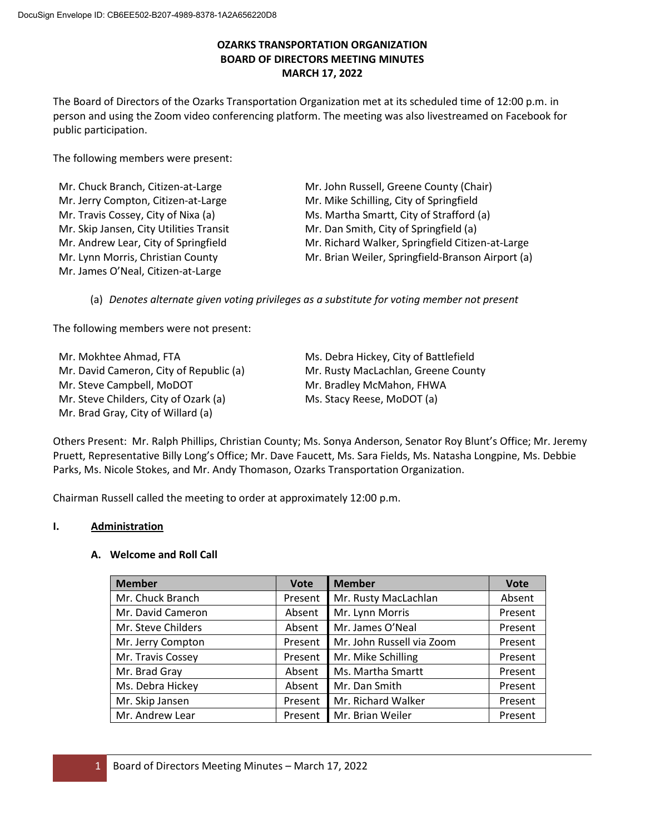# **OZARKS TRANSPORTATION ORGANIZATION BOARD OF DIRECTORS MEETING MINUTES MARCH 17, 2022**

The Board of Directors of the Ozarks Transportation Organization met at its scheduled time of 12:00 p.m. in person and using the Zoom video conferencing platform. The meeting was also livestreamed on Facebook for public participation.

The following members were present:

| Mr. Chuck Branch, Citizen-at-Large      | Mr. John Russell, Greene County (Chair)           |
|-----------------------------------------|---------------------------------------------------|
| Mr. Jerry Compton, Citizen-at-Large     | Mr. Mike Schilling, City of Springfield           |
| Mr. Travis Cossey, City of Nixa (a)     | Ms. Martha Smartt, City of Strafford (a)          |
| Mr. Skip Jansen, City Utilities Transit | Mr. Dan Smith, City of Springfield (a)            |
| Mr. Andrew Lear, City of Springfield    | Mr. Richard Walker, Springfield Citizen-at-Large  |
| Mr. Lynn Morris, Christian County       | Mr. Brian Weiler, Springfield-Branson Airport (a) |
| Mr. James O'Neal, Citizen-at-Large      |                                                   |

(a) *Denotes alternate given voting privileges as a substitute for voting member not present*

The following members were not present:

Mr. Mokhtee Ahmad, FTA Mr. David Cameron, City of Republic (a) Mr. Steve Campbell, MoDOT Mr. Steve Childers, City of Ozark (a) Mr. Brad Gray, City of Willard (a)

Ms. Debra Hickey, City of Battlefield Mr. Rusty MacLachlan, Greene County Mr. Bradley McMahon, FHWA Ms. Stacy Reese, MoDOT (a)

Others Present: Mr. Ralph Phillips, Christian County; Ms. Sonya Anderson, Senator Roy Blunt's Office; Mr. Jeremy Pruett, Representative Billy Long's Office; Mr. Dave Faucett, Ms. Sara Fields, Ms. Natasha Longpine, Ms. Debbie Parks, Ms. Nicole Stokes, and Mr. Andy Thomason, Ozarks Transportation Organization.

Chairman Russell called the meeting to order at approximately 12:00 p.m.

# **I. Administration**

## **A. Welcome and Roll Call**

| <b>Member</b>      | <b>Vote</b> | <b>Member</b>             | <b>Vote</b> |
|--------------------|-------------|---------------------------|-------------|
| Mr. Chuck Branch   | Present     | Mr. Rusty MacLachlan      | Absent      |
| Mr. David Cameron  | Absent      | Mr. Lynn Morris           | Present     |
| Mr. Steve Childers | Absent      | Mr. James O'Neal          | Present     |
| Mr. Jerry Compton  | Present     | Mr. John Russell via Zoom | Present     |
| Mr. Travis Cossey  | Present     | Mr. Mike Schilling        | Present     |
| Mr. Brad Gray      | Absent      | Ms. Martha Smartt         | Present     |
| Ms. Debra Hickey   | Absent      | Mr. Dan Smith             | Present     |
| Mr. Skip Jansen    | Present     | Mr. Richard Walker        | Present     |
| Mr. Andrew Lear    | Present     | Mr. Brian Weiler          | Present     |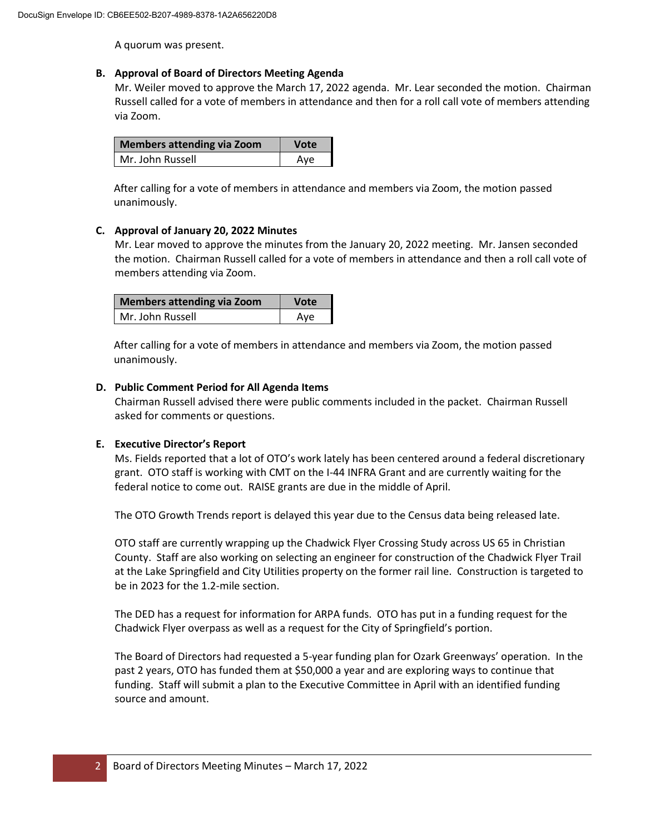A quorum was present.

## **B. Approval of Board of Directors Meeting Agenda**

Mr. Weiler moved to approve the March 17, 2022 agenda. Mr. Lear seconded the motion. Chairman Russell called for a vote of members in attendance and then for a roll call vote of members attending via Zoom.

| Members attending via Zoom | <b>Vote</b> |
|----------------------------|-------------|
| Mr. John Russell           | Ave         |

After calling for a vote of members in attendance and members via Zoom, the motion passed unanimously.

## **C. Approval of January 20, 2022 Minutes**

Mr. Lear moved to approve the minutes from the January 20, 2022 meeting. Mr. Jansen seconded the motion. Chairman Russell called for a vote of members in attendance and then a roll call vote of members attending via Zoom.

| Members attending via Zoom | <b>Vote</b> |
|----------------------------|-------------|
| Mr. John Russell           | Ave         |

After calling for a vote of members in attendance and members via Zoom, the motion passed unanimously.

## **D. Public Comment Period for All Agenda Items**

Chairman Russell advised there were public comments included in the packet. Chairman Russell asked for comments or questions.

## **E. Executive Director's Report**

Ms. Fields reported that a lot of OTO's work lately has been centered around a federal discretionary grant. OTO staff is working with CMT on the I-44 INFRA Grant and are currently waiting for the federal notice to come out. RAISE grants are due in the middle of April.

The OTO Growth Trends report is delayed this year due to the Census data being released late.

OTO staff are currently wrapping up the Chadwick Flyer Crossing Study across US 65 in Christian County. Staff are also working on selecting an engineer for construction of the Chadwick Flyer Trail at the Lake Springfield and City Utilities property on the former rail line. Construction is targeted to be in 2023 for the 1.2-mile section.

The DED has a request for information for ARPA funds. OTO has put in a funding request for the Chadwick Flyer overpass as well as a request for the City of Springfield's portion.

The Board of Directors had requested a 5-year funding plan for Ozark Greenways' operation. In the past 2 years, OTO has funded them at \$50,000 a year and are exploring ways to continue that funding. Staff will submit a plan to the Executive Committee in April with an identified funding source and amount.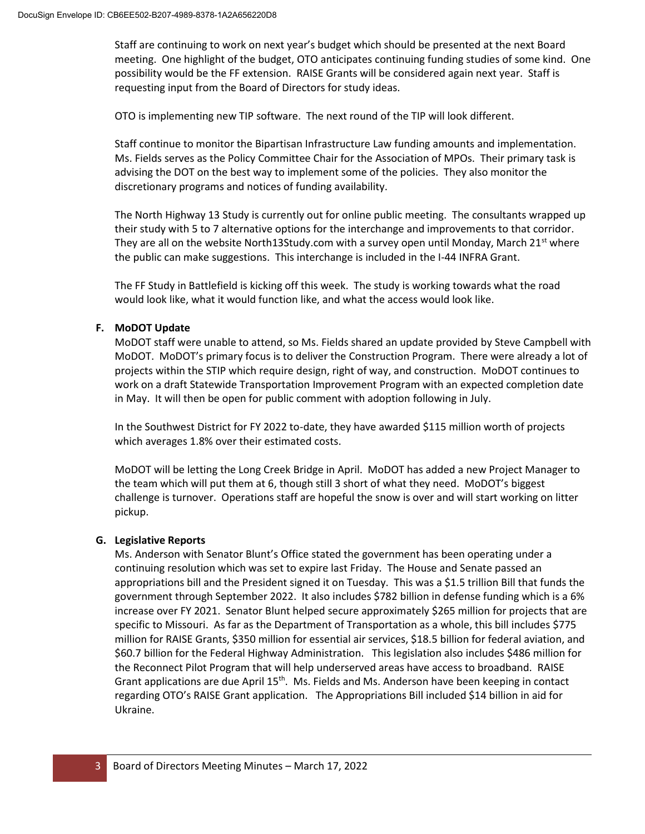Staff are continuing to work on next year's budget which should be presented at the next Board meeting. One highlight of the budget, OTO anticipates continuing funding studies of some kind. One possibility would be the FF extension. RAISE Grants will be considered again next year. Staff is requesting input from the Board of Directors for study ideas.

OTO is implementing new TIP software. The next round of the TIP will look different.

Staff continue to monitor the Bipartisan Infrastructure Law funding amounts and implementation. Ms. Fields serves as the Policy Committee Chair for the Association of MPOs. Their primary task is advising the DOT on the best way to implement some of the policies. They also monitor the discretionary programs and notices of funding availability.

The North Highway 13 Study is currently out for online public meeting. The consultants wrapped up their study with 5 to 7 alternative options for the interchange and improvements to that corridor. They are all on the website North13Study.com with a survey open until Monday, March 21st where the public can make suggestions. This interchange is included in the I-44 INFRA Grant.

The FF Study in Battlefield is kicking off this week. The study is working towards what the road would look like, what it would function like, and what the access would look like.

# **F. MoDOT Update**

MoDOT staff were unable to attend, so Ms. Fields shared an update provided by Steve Campbell with MoDOT. MoDOT's primary focus is to deliver the Construction Program. There were already a lot of projects within the STIP which require design, right of way, and construction. MoDOT continues to work on a draft Statewide Transportation Improvement Program with an expected completion date in May. It will then be open for public comment with adoption following in July.

In the Southwest District for FY 2022 to-date, they have awarded \$115 million worth of projects which averages 1.8% over their estimated costs.

MoDOT will be letting the Long Creek Bridge in April. MoDOT has added a new Project Manager to the team which will put them at 6, though still 3 short of what they need. MoDOT's biggest challenge is turnover. Operations staff are hopeful the snow is over and will start working on litter pickup.

## **G. Legislative Reports**

Ms. Anderson with Senator Blunt's Office stated the government has been operating under a continuing resolution which was set to expire last Friday. The House and Senate passed an appropriations bill and the President signed it on Tuesday. This was a \$1.5 trillion Bill that funds the government through September 2022. It also includes \$782 billion in defense funding which is a 6% increase over FY 2021. Senator Blunt helped secure approximately \$265 million for projects that are specific to Missouri. As far as the Department of Transportation as a whole, this bill includes \$775 million for RAISE Grants, \$350 million for essential air services, \$18.5 billion for federal aviation, and \$60.7 billion for the Federal Highway Administration. This legislation also includes \$486 million for the Reconnect Pilot Program that will help underserved areas have access to broadband. RAISE Grant applications are due April 15<sup>th</sup>. Ms. Fields and Ms. Anderson have been keeping in contact regarding OTO's RAISE Grant application. The Appropriations Bill included \$14 billion in aid for Ukraine.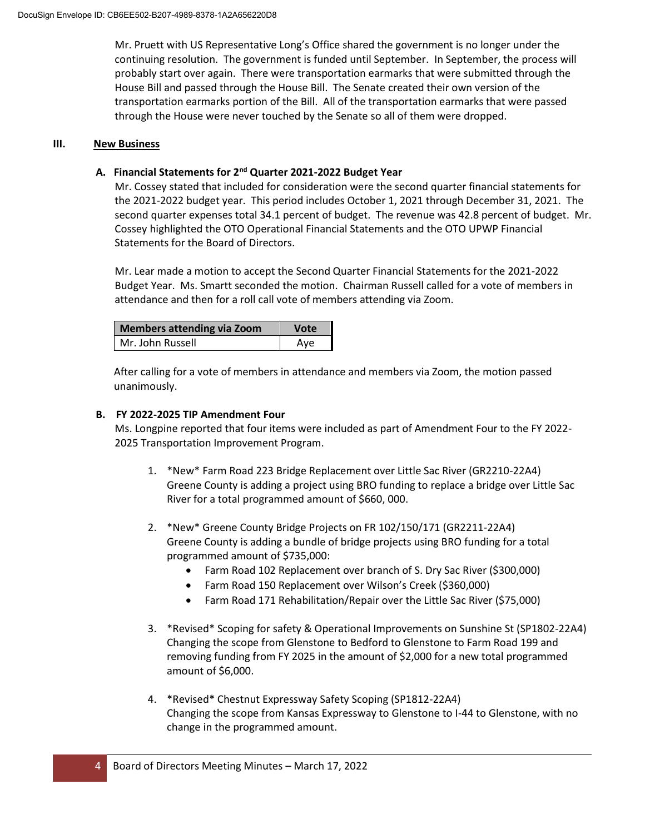Mr. Pruett with US Representative Long's Office shared the government is no longer under the continuing resolution. The government is funded until September. In September, the process will probably start over again. There were transportation earmarks that were submitted through the House Bill and passed through the House Bill. The Senate created their own version of the transportation earmarks portion of the Bill. All of the transportation earmarks that were passed through the House were never touched by the Senate so all of them were dropped.

# **III. New Business**

# **A. Financial Statements for 2nd Quarter 2021-2022 Budget Year**

Mr. Cossey stated that included for consideration were the second quarter financial statements for the 2021-2022 budget year. This period includes October 1, 2021 through December 31, 2021. The second quarter expenses total 34.1 percent of budget. The revenue was 42.8 percent of budget. Mr. Cossey highlighted the OTO Operational Financial Statements and the OTO UPWP Financial Statements for the Board of Directors.

Mr. Lear made a motion to accept the Second Quarter Financial Statements for the 2021-2022 Budget Year. Ms. Smartt seconded the motion. Chairman Russell called for a vote of members in attendance and then for a roll call vote of members attending via Zoom.

| Members attending via Zoom | Vote |
|----------------------------|------|
| Mr. John Russell           | Ave  |

After calling for a vote of members in attendance and members via Zoom, the motion passed unanimously.

## **B. FY 2022-2025 TIP Amendment Four**

Ms. Longpine reported that four items were included as part of Amendment Four to the FY 2022- 2025 Transportation Improvement Program.

- 1. \*New\* Farm Road 223 Bridge Replacement over Little Sac River (GR2210-22A4) Greene County is adding a project using BRO funding to replace a bridge over Little Sac River for a total programmed amount of \$660, 000.
- 2. \*New\* Greene County Bridge Projects on FR 102/150/171 (GR2211-22A4) Greene County is adding a bundle of bridge projects using BRO funding for a total programmed amount of \$735,000:
	- Farm Road 102 Replacement over branch of S. Dry Sac River (\$300,000)
	- Farm Road 150 Replacement over Wilson's Creek (\$360,000)
	- Farm Road 171 Rehabilitation/Repair over the Little Sac River (\$75,000)
- 3. \*Revised\* Scoping for safety & Operational Improvements on Sunshine St (SP1802-22A4) Changing the scope from Glenstone to Bedford to Glenstone to Farm Road 199 and removing funding from FY 2025 in the amount of \$2,000 for a new total programmed amount of \$6,000.
- 4. \*Revised\* Chestnut Expressway Safety Scoping (SP1812-22A4) Changing the scope from Kansas Expressway to Glenstone to I-44 to Glenstone, with no change in the programmed amount.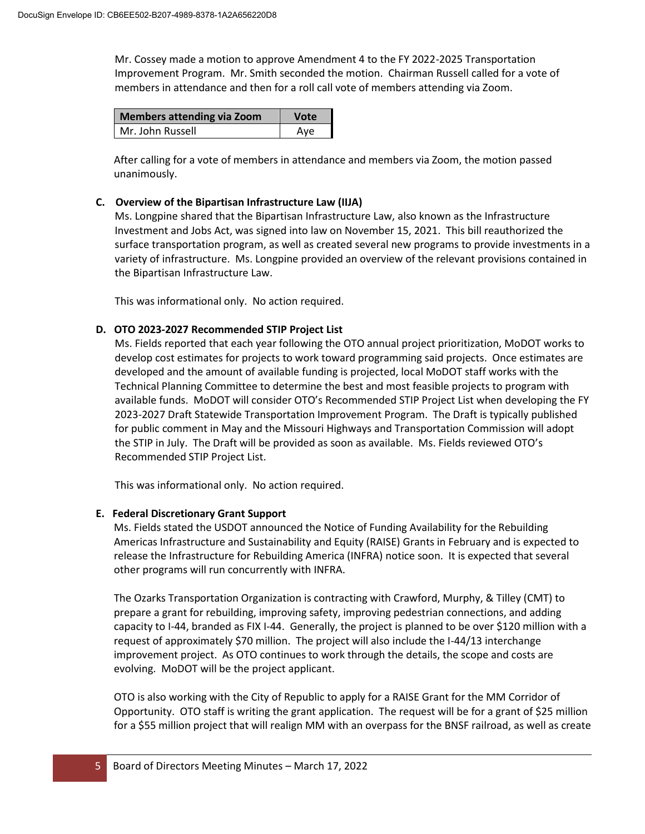Mr. Cossey made a motion to approve Amendment 4 to the FY 2022-2025 Transportation Improvement Program. Mr. Smith seconded the motion. Chairman Russell called for a vote of members in attendance and then for a roll call vote of members attending via Zoom.

| <b>Members attending via Zoom</b> | <b>Vote</b> |
|-----------------------------------|-------------|
| Mr. John Russell                  | Ave         |

After calling for a vote of members in attendance and members via Zoom, the motion passed unanimously.

### **C. Overview of the Bipartisan Infrastructure Law (IIJA)**

Ms. Longpine shared that the Bipartisan Infrastructure Law, also known as the Infrastructure Investment and Jobs Act, was signed into law on November 15, 2021. This bill reauthorized the surface transportation program, as well as created several new programs to provide investments in a variety of infrastructure. Ms. Longpine provided an overview of the relevant provisions contained in the Bipartisan Infrastructure Law.

This was informational only. No action required.

## **D. OTO 2023-2027 Recommended STIP Project List**

Ms. Fields reported that each year following the OTO annual project prioritization, MoDOT works to develop cost estimates for projects to work toward programming said projects. Once estimates are developed and the amount of available funding is projected, local MoDOT staff works with the Technical Planning Committee to determine the best and most feasible projects to program with available funds. MoDOT will consider OTO's Recommended STIP Project List when developing the FY 2023-2027 Draft Statewide Transportation Improvement Program. The Draft is typically published for public comment in May and the Missouri Highways and Transportation Commission will adopt the STIP in July. The Draft will be provided as soon as available. Ms. Fields reviewed OTO's Recommended STIP Project List.

This was informational only. No action required.

#### **E. Federal Discretionary Grant Support**

Ms. Fields stated the USDOT announced the Notice of Funding Availability for the Rebuilding Americas Infrastructure and Sustainability and Equity (RAISE) Grants in February and is expected to release the Infrastructure for Rebuilding America (INFRA) notice soon. It is expected that several other programs will run concurrently with INFRA.

The Ozarks Transportation Organization is contracting with Crawford, Murphy, & Tilley (CMT) to prepare a grant for rebuilding, improving safety, improving pedestrian connections, and adding capacity to I-44, branded as FIX I-44. Generally, the project is planned to be over \$120 million with a request of approximately \$70 million. The project will also include the I-44/13 interchange improvement project. As OTO continues to work through the details, the scope and costs are evolving. MoDOT will be the project applicant.

OTO is also working with the City of Republic to apply for a RAISE Grant for the MM Corridor of Opportunity. OTO staff is writing the grant application. The request will be for a grant of \$25 million for a \$55 million project that will realign MM with an overpass for the BNSF railroad, as well as create